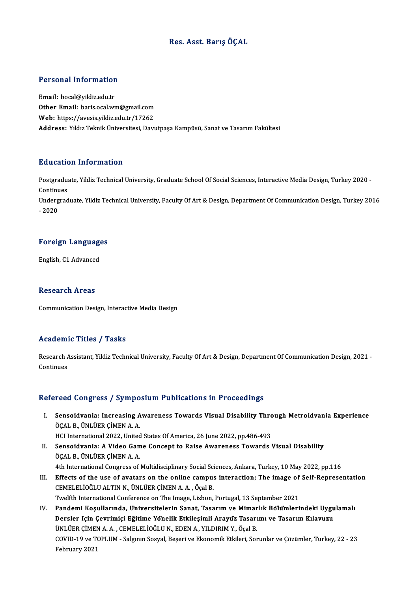### Res. Asst. BarışÖÇAL

# Personal Information

Personal Information<br>Email: bocal@yildiz.edu.tr<br>Other Email: baris.coal.ur **Christen Internation<br>Email:** bocal@yildiz.edu.tr<br>Other Email: baris.ocal.wm@gmail.com<br>Web: https://avesis.vildiz.edu.tr/17362 Email: bocal@yildiz.edu.tr<br>Other Email: baris.ocal.wm@gmail.com<br>Web: https://avesis.yildiz.edu.tr/17262<br>Address. Yildir.Telmik.Üniversitesi Devi  $\textbf{Web: \textbf{ https://avesis.yildiz.edu.tr/17262}}$ Address: Yıldız Teknik Üniversitesi, Davutpaşa Kampüsü, Sanat ve Tasarım Fakültesi

#### Education Information

**Education Information**<br>Postgraduate, Yildiz Technical University, Graduate School Of Social Sciences, Interactive Media Design, Turkey 2020 -<br>Continues Postgradua<br>Continues<br>Undergrad Postgraduate, Yildiz Technical University, Graduate School Of Social Sciences, Interactive Media Design, Turkey 2020 -<br>Continues<br>Undergraduate, Yildiz Technical University, Faculty Of Art & Design, Department Of Communicat Continues<br>Undergraduate, Yildiz Technical University, Faculty Of Art & Design, Department Of Communication Design, Turkey 2016<br>- 2020

## -<sub>2020</sub><br>Foreign Languages F<mark>oreign Languag</mark>e<br>English, C1 Advanced

English, C1 Advanced<br>Research Areas

Communication Design, Interactive Media Design

#### Academic Titles / Tasks

**Academic Titles / Tasks**<br>Research Assistant, Yildiz Technical University, Faculty Of Art & Design, Department Of Communication Design, 2021 -<br>Continues Research A<br>Continues

## Continues<br>Refereed Congress / Symposium Publications in Proceedings

efereed Congress / Symposium Publications in Proceedings<br>I. Sensoidvania: Increasing Awareness Towards Visual Disability Through Metroidvania Experience<br>ÖCAL B. ÜNI ÜER CİMEN A A Sensoidvania: Increasing A<br>ÖÇAL B., ÜNLÜER ÇİMEN A.A.<br>HCl International 2022, United Sensoidvania: Increasing Awareness Towards Visual Disability Thro<br>ÖÇAL B., ÜNLÜER ÇİMEN A. A.<br>HCI International 2022, United States Of America, 26 June 2022, pp.486-493<br>Sensoidvania: A Video Camo Consent to Baise Awareness ÖÇAL B., ÜNLÜER ÇİMEN A. A.<br>HCI International 2022, United States Of America, 26 June 2022, pp.486-493<br>II. Sensoidvania: A Video Game Concept to Raise Awareness Towards Visual Disability

- ÖÇALB.,ÜNLÜERÇİMENA.A. 4th International Congress of Multidisciplinary Social Sciences, Ankara, Turkey, 10 May 2022, pp.116
- III. Effects of the use of avatars on the online campus interaction; The image of Self-Representation CEMELELİOĞLUALTINN.,ÜNLÜERÇİMENA.A. ,ÖçalB. Twelfth International Conference on The Image, Lizbon, Portugal, 13 September 2021
- IV. Pandemi Koşullarında, Universitelerin Sanat, Tasarım ve Mimarlık Bölümlerindeki Uygulamalı Twelfth International Conference on The Image, Lizbon, Portugal, 13 September 2021<br>Pandemi Koşullarında, Universitelerin Sanat, Tasarım ve Mimarlık Bölümlerindeki Uygu<br>Dersler Için Çevrimiçi Eğitime Yönelik Etkileşimli Ara Pandemi Koşullarında, Universitelerin Sanat, Tasarım ve Mimar<br>Dersler Için Çevrimiçi Eğitime Yönelik Etkileşimli Arayuz Tasarı<br>ÜNLÜER ÇİMEN A.A., CEMELELİOĞLU N., EDEN A., YILDIRIM Y., Öçal B.<br>COVID 19 ve TOPLUM, Salanın S ÜNLÜER ÇİMEN A. A. , CEMELELİOĞLU N., EDEN A., YILDIRIM Y., Öçal B.<br>COVID-19 ve TOPLUM - Salgının Sosyal, Beşeri ve Ekonomik Etkileri, Sorunlar ve Çözümler, Turkey, 22 - 23 February 2021